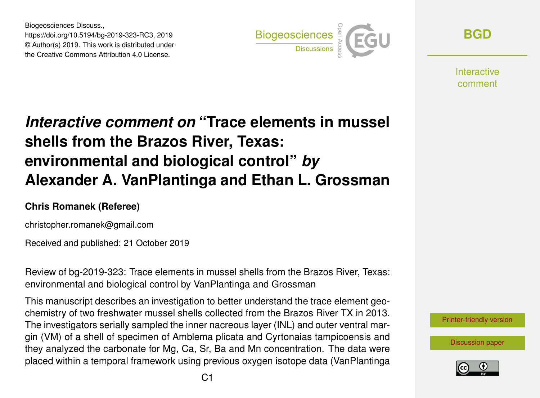Biogeosciences Discuss., https://doi.org/10.5194/bg-2019-323-RC3, 2019 © Author(s) 2019. This work is distributed under the Creative Commons Attribution 4.0 License.



**[BGD](https://www.biogeosciences-discuss.net/)**

**Interactive** comment

## *Interactive comment on* **"Trace elements in mussel shells from the Brazos River, Texas: environmental and biological control"** *by* **Alexander A. VanPlantinga and Ethan L. Grossman**

## **Chris Romanek (Referee)**

christopher.romanek@gmail.com

Received and published: 21 October 2019

Review of bg-2019-323: Trace elements in mussel shells from the Brazos River, Texas: environmental and biological control by VanPlantinga and Grossman

This manuscript describes an investigation to better understand the trace element geochemistry of two freshwater mussel shells collected from the Brazos River TX in 2013. The investigators serially sampled the inner nacreous layer (INL) and outer ventral margin (VM) of a shell of specimen of Amblema plicata and Cyrtonaias tampicoensis and they analyzed the carbonate for Mg, Ca, Sr, Ba and Mn concentration. The data were placed within a temporal framework using previous oxygen isotope data (VanPlantinga



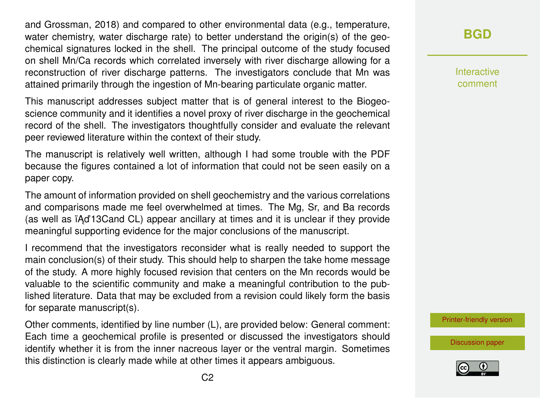and Grossman, 2018) and compared to other environmental data (e.g., temperature, water chemistry, water discharge rate) to better understand the origin(s) of the geochemical signatures locked in the shell. The principal outcome of the study focused on shell Mn/Ca records which correlated inversely with river discharge allowing for a reconstruction of river discharge patterns. The investigators conclude that Mn was attained primarily through the ingestion of Mn-bearing particulate organic matter.

This manuscript addresses subject matter that is of general interest to the Biogeoscience community and it identifies a novel proxy of river discharge in the geochemical record of the shell. The investigators thoughtfully consider and evaluate the relevant peer reviewed literature within the context of their study.

The manuscript is relatively well written, although I had some trouble with the PDF because the figures contained a lot of information that could not be seen easily on a paper copy.

The amount of information provided on shell geochemistry and the various correlations and comparisons made me feel overwhelmed at times. The Mg, Sr, and Ba records (as well as  $A$ <sup>2</sup> 13 Cand CL) appear ancillary at times and it is unclear if they provide meaningful supporting evidence for the major conclusions of the manuscript.

I recommend that the investigators reconsider what is really needed to support the main conclusion(s) of their study. This should help to sharpen the take home message of the study. A more highly focused revision that centers on the Mn records would be valuable to the scientific community and make a meaningful contribution to the published literature. Data that may be excluded from a revision could likely form the basis for separate manuscript(s).

Other comments, identified by line number (L), are provided below: General comment: Each time a geochemical profile is presented or discussed the investigators should identify whether it is from the inner nacreous layer or the ventral margin. Sometimes this distinction is clearly made while at other times it appears ambiguous.

**[BGD](https://www.biogeosciences-discuss.net/)**

Interactive comment

[Printer-friendly version](https://www.biogeosciences-discuss.net/bg-2019-323/bg-2019-323-RC3-print.pdf)

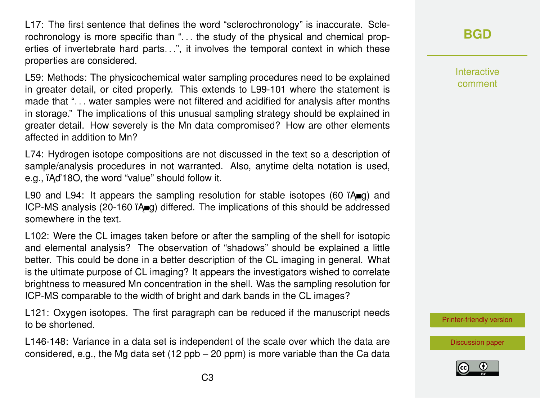L17: The first sentence that defines the word "sclerochronology" is inaccurate. Sclerochronology is more specific than ". . . the study of the physical and chemical properties of invertebrate hard parts...", it involves the temporal context in which these properties are considered.

L59: Methods: The physicochemical water sampling procedures need to be explained in greater detail, or cited properly. This extends to L99-101 where the statement is made that "... water samples were not filtered and acidified for analysis after months in storage." The implications of this unusual sampling strategy should be explained in greater detail. How severely is the Mn data compromised? How are other elements affected in addition to Mn?

L74: Hydrogen isotope compositions are not discussed in the text so a description of sample/analysis procedures in not warranted. Also, anytime delta notation is used, e.g.,  $\Delta$  iAd'18O, the word "value" should follow it.

L90 and L94: It appears the sampling resolution for stable isotopes (60  $\mathsf{A}\text{mq}$ ) and ICP-MS analysis (20-160  $\overline{A}$  $\overline{A}$ ) differed. The implications of this should be addressed somewhere in the text.

L102: Were the CL images taken before or after the sampling of the shell for isotopic and elemental analysis? The observation of "shadows" should be explained a little better. This could be done in a better description of the CL imaging in general. What is the ultimate purpose of CL imaging? It appears the investigators wished to correlate brightness to measured Mn concentration in the shell. Was the sampling resolution for ICP-MS comparable to the width of bright and dark bands in the CL images?

L121: Oxygen isotopes. The first paragraph can be reduced if the manuscript needs to be shortened.

L146-148: Variance in a data set is independent of the scale over which the data are considered, e.g., the Mg data set (12 ppb – 20 ppm) is more variable than the Ca data

## **[BGD](https://www.biogeosciences-discuss.net/)**

Interactive comment

[Printer-friendly version](https://www.biogeosciences-discuss.net/bg-2019-323/bg-2019-323-RC3-print.pdf)

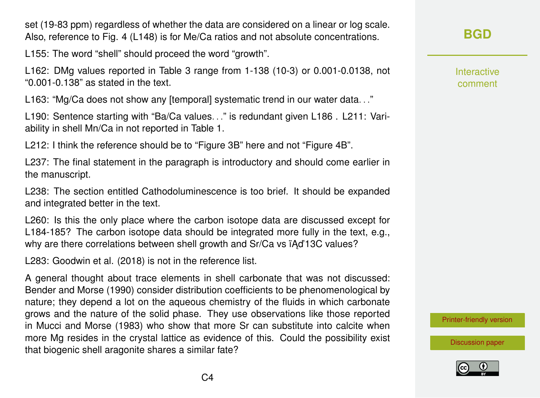set (19-83 ppm) regardless of whether the data are considered on a linear or log scale. Also, reference to Fig. 4 (L148) is for Me/Ca ratios and not absolute concentrations.

L155: The word "shell" should proceed the word "growth".

L162: DMg values reported in Table 3 range from 1-138 (10-3) or 0.001-0.0138, not "0.001-0.138" as stated in the text.

L163: "Mg/Ca does not show any [temporal] systematic trend in our water data. . ."

L190: Sentence starting with "Ba/Ca values. . ." is redundant given L186 . L211: Variability in shell Mn/Ca in not reported in Table 1.

L212: I think the reference should be to "Figure 3B" here and not "Figure 4B".

L237: The final statement in the paragraph is introductory and should come earlier in the manuscript.

L238: The section entitled Cathodoluminescence is too brief. It should be expanded and integrated better in the text.

L260: Is this the only place where the carbon isotope data are discussed except for L184-185? The carbon isotope data should be integrated more fully in the text, e.g., why are there correlations between shell growth and Sr/Ca vs iAd'13C values?

L283: Goodwin et al. (2018) is not in the reference list.

A general thought about trace elements in shell carbonate that was not discussed: Bender and Morse (1990) consider distribution coefficients to be phenomenological by nature; they depend a lot on the aqueous chemistry of the fluids in which carbonate grows and the nature of the solid phase. They use observations like those reported in Mucci and Morse (1983) who show that more Sr can substitute into calcite when more Mg resides in the crystal lattice as evidence of this. Could the possibility exist that biogenic shell aragonite shares a similar fate?

**[BGD](https://www.biogeosciences-discuss.net/)**

Interactive comment

[Printer-friendly version](https://www.biogeosciences-discuss.net/bg-2019-323/bg-2019-323-RC3-print.pdf)